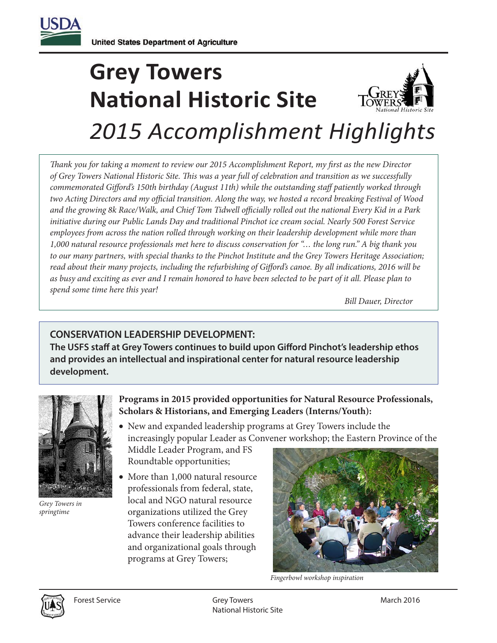

# **Grey Towers National Historic Site** *2015 Accomplishment Highlights*

*Thank you for taking a moment to review our 2015 Accomplishment Report, my first as the new Director of Grey Towers National Historic Site. is was a year full of celebration and transition as we successfully commemorated Gifford's 150th birthday (August 11th) while the outstanding staff patiently worked through two Acting Directors and my official transition. Along the way, we hosted a record breaking Festival of Wood* and the growing 8k Race/Walk, and Chief Tom Tidwell officially rolled out the national Every Kid in a Park *initiative during our Public Lands Day and traditional Pinchot ice cream social. Nearly 500 Forest Service employees from across the nation rolled through working on their leadership development while more than 1,000 natural resource professionals met here to discuss conservation for "… the long run." A big thank you to our many partners, with special thanks to the Pinchot Institute and the Grey Towers Heritage Association;*  read about their many projects, including the refurbishing of Gifford's canoe. By all indications, 2016 will be *as busy and exciting as ever and I remain honored to have been selected to be part of it all. Please plan to spend some time here this year!* 

 *Bill Dauer, Director*

# **CONSERVATION LEADERSHIP DEVELOPMENT:**

The USFS staff at Grey Towers continues to build upon Gifford Pinchot's leadership ethos **and provides an intellectual and inspirational center for natural resource leadership development.**



*Grey Towers in springtime*

**Programs in 2015 provided opportunities for Natural Resource Professionals, Scholars & Historians, and Emerging Leaders (Interns/Youth):**

• New and expanded leadership programs at Grey Towers include the increasingly popular Leader as Convener workshop; the Eastern Province of the

Middle Leader Program, and FS Roundtable opportunities;

• More than 1,000 natural resource professionals from federal, state, local and NGO natural resource organizations utilized the Grey Towers conference facilities to advance their leadership abilities and organizational goals through programs at Grey Towers;



*Fingerbowl workshop inspiration*

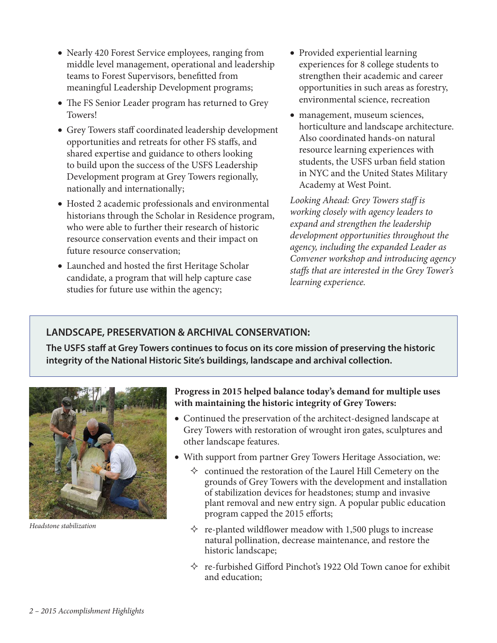- Nearly 420 Forest Service employees, ranging from middle level management, operational and leadership teams to Forest Supervisors, benefitted from meaningful Leadership Development programs;
- The FS Senior Leader program has returned to Grey Towers!
- Grey Towers staff coordinated leadership development opportunities and retreats for other FS staffs, and shared expertise and guidance to others looking to build upon the success of the USFS Leadership Development program at Grey Towers regionally, nationally and internationally;
- Hosted 2 academic professionals and environmental historians through the Scholar in Residence program, who were able to further their research of historic resource conservation events and their impact on future resource conservation;
- Launched and hosted the first Heritage Scholar candidate, a program that will help capture case studies for future use within the agency;
- Provided experiential learning experiences for 8 college students to strengthen their academic and career opportunities in such areas as forestry, environmental science, recreation
- management, museum sciences, horticulture and landscape architecture. Also coordinated hands-on natural resource learning experiences with students, the USFS urban field station in NYC and the United States Military Academy at West Point.

Looking Ahead: Grey Towers staff is *working closely with agency leaders to expand and strengthen the leadership development opportunities throughout the agency, including the expanded Leader as Convener workshop and introducing agency*  staffs that are interested in the Grey Tower's *learning experience.* 

# **LANDSCAPE, PRESERVATION & ARCHIVAL CONSERVATION:**

The USFS staff at Grey Towers continues to focus on its core mission of preserving the historic **integrity of the National Historic Site's buildings, landscape and archival collection.**



*Headstone stabilization*

#### **Progress in 2015 helped balance today's demand for multiple uses with maintaining the historic integrity of Grey Towers:**

- Continued the preservation of the architect-designed landscape at Grey Towers with restoration of wrought iron gates, sculptures and other landscape features.
- With support from partner Grey Towers Heritage Association, we:
	- $\Diamond$  continued the restoration of the Laurel Hill Cemetery on the grounds of Grey Towers with the development and installation of stabilization devices for headstones; stump and invasive plant removal and new entry sign. A popular public education program capped the 2015 efforts;
	- $\Diamond$  re-planted wildflower meadow with 1,500 plugs to increase natural pollination, decrease maintenance, and restore the historic landscape;
	- $\Diamond$  re-furbished Gifford Pinchot's 1922 Old Town canoe for exhibit and education;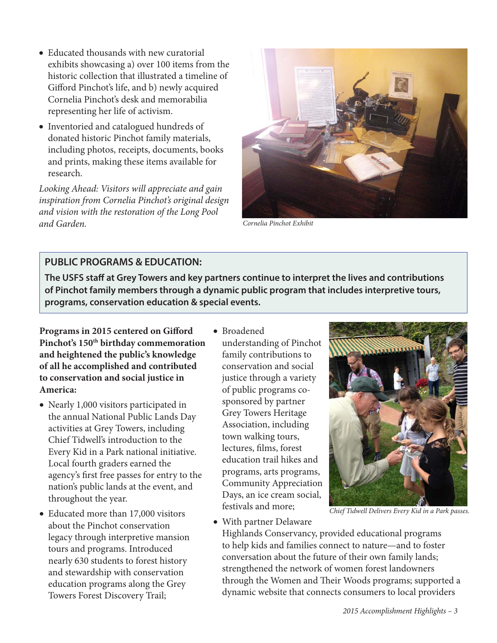- Educated thousands with new curatorial exhibits showcasing a) over 100 items from the historic collection that illustrated a timeline of Gifford Pinchot's life, and b) newly acquired Cornelia Pinchot's desk and memorabilia representing her life of activism.
- Inventoried and catalogued hundreds of donated historic Pinchot family materials, including photos, receipts, documents, books and prints, making these items available for research.

*Looking Ahead: Visitors will appreciate and gain inspiration from Cornelia Pinchot's original design and vision with the restoration of the Long Pool and Garden.*



*Cornelia Pinchot Exhibit*

### **PUBLIC PROGRAMS & EDUCATION:**

The USFS staff at Grey Towers and key partners continue to interpret the lives and contributions **of Pinchot family members through a dynamic public program that includes interpretive tours, programs, conservation education & special events.**

Programs in 2015 centered on Gifford **Pinchot's 150th birthday commemoration and heightened the public's knowledge of all he accomplished and contributed to conservation and social justice in America:**

- • Nearly 1,000 visitors participated in the annual National Public Lands Day activities at Grey Towers, including Chief Tidwell's introduction to the Every Kid in a Park national initiative. Local fourth graders earned the agency's first free passes for entry to the nation's public lands at the event, and throughout the year.
- Educated more than 17,000 visitors about the Pinchot conservation legacy through interpretive mansion tours and programs. Introduced nearly 630 students to forest history and stewardship with conservation education programs along the Grey Towers Forest Discovery Trail;

• Broadened understanding of Pinchot family contributions to conservation and social justice through a variety of public programs cosponsored by partner Grey Towers Heritage Association, including town walking tours, lectures, films, forest education trail hikes and programs, arts programs, Community Appreciation Days, an ice cream social, festivals and more;



*Chief Tidwell Delivers Every Kid in a Park passes.*

• With partner Delaware Highlands Conservancy, provided educational programs to help kids and families connect to nature—and to foster conversation about the future of their own family lands; strengthened the network of women forest landowners through the Women and Their Woods programs; supported a dynamic website that connects consumers to local providers